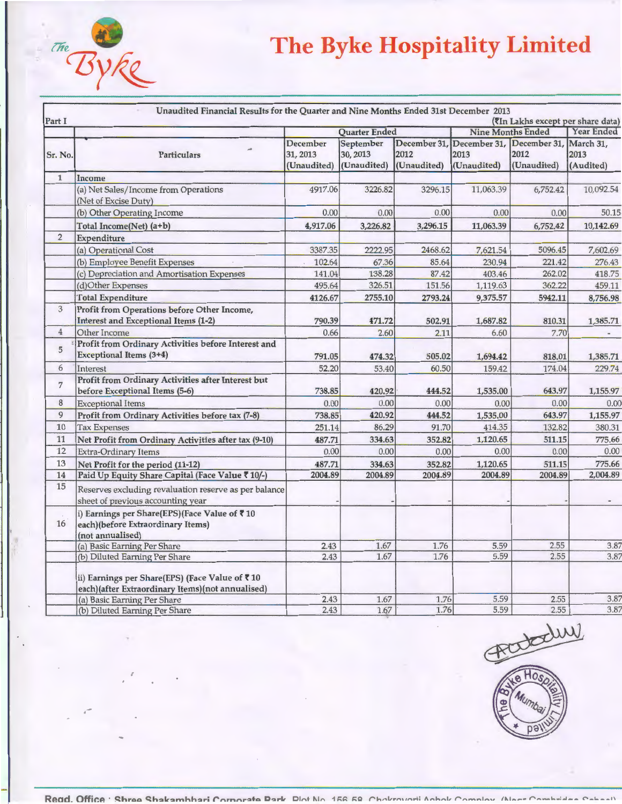## $rac{d}{d}$ vke

'

.-

## **The Byke Hospitality Limited**

| Part I         |                                                                                                       |                                     | <b>Quarter Ended</b>                 |                                     |                                     | (7In Lakhs except per share data)<br><b>Nine Months Ended</b> | <b>Year Ended</b>              |
|----------------|-------------------------------------------------------------------------------------------------------|-------------------------------------|--------------------------------------|-------------------------------------|-------------------------------------|---------------------------------------------------------------|--------------------------------|
| Sr. No.        | <b>Particulars</b>                                                                                    | December<br>31, 2013<br>(Unaudited) | September<br>30, 2013<br>(Unaudited) | December 31.<br>2012<br>(Unaudited) | December 31,<br>2013<br>(Unaudited) | December 31.<br>2012<br>(Unaudited)                           | March 31,<br>2013<br>(Audited) |
| $\mathbf{1}$   | Income                                                                                                |                                     |                                      |                                     |                                     |                                                               |                                |
|                | (a) Net Sales/Income from Operations<br>(Net of Excise Duty)                                          | 4917.06                             | 3226.82                              | 3296.15                             | 11,063.39                           | 6,752.42                                                      | 10,092.54                      |
|                | (b) Other Operating Income                                                                            | 0.00                                | 0.00                                 | 0.00                                | 0.00                                | 0.00                                                          | 50.15                          |
|                | Total Income(Net) (a+b)                                                                               | 4,917.06                            | 3,226.82                             | 3,296.15                            | 11,063.39                           | 6,752.42                                                      | 10,142.69                      |
| $\sqrt{2}$     | Expenditure                                                                                           |                                     |                                      |                                     |                                     |                                                               |                                |
|                | (a) Operational Cost                                                                                  | 3387.35                             | 2222.95                              | 2468.62                             | 7,621.54                            | 5096.45                                                       | 7,602.69                       |
|                | (b) Employee Benefit Expenses                                                                         | 102.64                              | 67.36                                | 85.64                               | 230.94                              | 221.42                                                        | 276.43                         |
|                | (c) Depreciation and Amortisation Expenses                                                            | 141.04                              | 138.28                               | 87.42                               | 403.46                              | 262.02                                                        | 418.75                         |
|                | (d)Other Expenses                                                                                     | 495.64                              | 326.51                               | 151.56                              | 1,119.63                            | 362.22                                                        | 459.11                         |
|                | <b>Total Expenditure</b>                                                                              | 4126.67                             | 2755.10                              | 2793.24                             | 9,375.57                            | 5942.11                                                       | 8,756.98                       |
| 3              | Profit from Operations before Other Income,<br><b>Interest and Exceptional Items (1-2)</b>            | 790.39                              | 471.72                               | 502.91                              | 1,687.82                            | 810.31                                                        | 1,385.71                       |
| $\overline{4}$ | Other Income                                                                                          | 0.66                                | 2.60                                 | 2.11                                | 6.60                                | 7.70                                                          |                                |
| 5              | Profit from Ordinary Activities before Interest and<br>Exceptional Items (3+4)                        | 791.05                              | 474.32                               | 505.02                              | 1,694.42                            | 818.01                                                        | 1,385.71                       |
| 6              | Interest                                                                                              | 52.20                               | 53.40                                | 60.50                               | 159.42                              | 174.04                                                        | 229.74                         |
| $\overline{7}$ | Profit from Ordinary Activities after Interest but<br>before Exceptional Items (5-6)                  | 738.85                              | 420.92                               | 444.52                              | 1,535.00                            | 643.97                                                        | 1,155.97                       |
| 8              | <b>Exceptional Items</b>                                                                              | 0.00                                | 0.00                                 | 0.00                                | 0.00                                | 0.00                                                          | 0.00                           |
| 9              | Profit from Ordinary Activities before tax (7-8)                                                      | 738.85                              | 420.92                               | 444.52                              | 1,535.00                            | 643.97                                                        | 1,155.97                       |
| 10             | <b>Tax Expenses</b>                                                                                   | 251.14                              | 86.29                                | 91.70                               | 414.35                              | 132.82                                                        | 380.31                         |
| 11             | Net Profit from Ordinary Activities after tax (9-10)                                                  | 487.71                              | 334.63                               | 352.82                              | 1,120.65                            | 511.15                                                        | 775.66                         |
| 12             | <b>Extra-Ordinary Items</b>                                                                           | 0.00                                | 0.00                                 | 0.00                                | 0.00                                | 0.00                                                          | 0.00                           |
| 13             | Net Profit for the period (11-12)                                                                     | 487.71                              | 334.63                               | 352.82                              | 1,120.65                            | 511.15                                                        | 775.66                         |
| 14             | Paid Up Equity Share Capital (Face Value ₹ 10/-)                                                      | 2004.89                             | 2004.89                              | 2004.89                             | 2004.89                             | 2004.89                                                       | 2,004.89                       |
| 15             | Reserves excluding revaluation reserve as per balance<br>sheet of previous accounting year            |                                     |                                      |                                     |                                     |                                                               |                                |
| 16             | i) Earnings per Share(EPS)(Face Value of ₹10<br>each)(before Extraordinary Items)<br>(not annualised) |                                     |                                      |                                     |                                     |                                                               |                                |
|                | (a) Basic Earning Per Share                                                                           | 2.43                                | 1.67                                 | 1.76                                | 5.59                                | 2.55                                                          | 3.87                           |
|                | (b) Diluted Earning Per Share                                                                         | 2.43                                | 1.67                                 | 1.76                                | 5.59                                | 2.55                                                          | 3.87                           |
|                | ii) Earnings per Share(EPS) (Face Value of ₹10<br>each)(after Extraordinary Items)(not annualised)    |                                     |                                      |                                     |                                     |                                                               |                                |
|                | (a) Basic Earning Per Share                                                                           | 2.43                                | 1.67                                 | 1.76                                | 5.59                                | 2.55                                                          | 3.87                           |
|                | (b) Diluted Earning Per Share                                                                         | 2.43                                | 1.67                                 | 1.76                                | 5.59                                | 2.55                                                          | 3.87                           |



Read. Office ' Shroo Shakamhhari Cornorato Dark **Dint Nin** 156 52